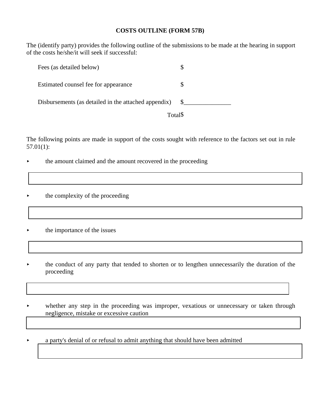#### **COSTS OUTLINE (FORM 57B)**

The (identify party) provides the following outline of the submissions to be made at the hearing in support of the costs he/she/it will seek if successful:

| Fees (as detailed below)                             |         |
|------------------------------------------------------|---------|
| Estimated counsel fee for appearance                 |         |
| Disbursements (as detailed in the attached appendix) |         |
|                                                      | Total\$ |

The following points are made in support of the costs sought with reference to the factors set out in rule 57.01(1):

- the amount claimed and the amount recovered in the proceeding
- the complexity of the proceeding
- the importance of the issues
- the conduct of any party that tended to shorten or to lengthen unnecessarily the duration of the proceeding
- whether any step in the proceeding was improper, vexatious or unnecessary or taken through negligence, mistake or excessive caution
- < a party's denial of or refusal to admit anything that should have been admitted